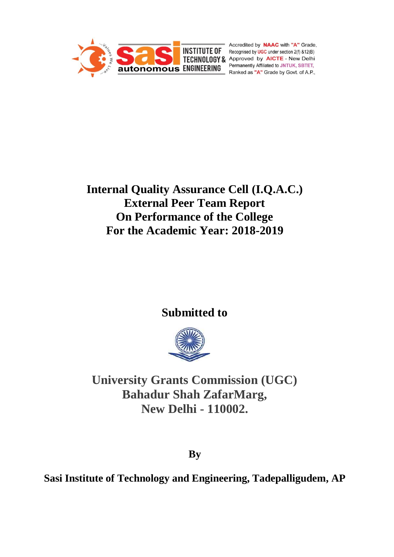

Accredited by **NAAC** with "A" Grade, **INSTITUTE OF** Recognised by **UGC** under section 2(f) &12(B) **INSITIUTE UP Recognised by UGC under section 2(f) &12(B)**<br> **TECHNOLOGY & Approved by AICTE - New Delhi**<br> **Recognized by AICTE - New Delhi** Permanently Affiliated to JNTUK, SBTET, Ranked as "A" Grade by Govt. of A.P.,

# **Internal Quality Assurance Cell (I.Q.A.C.) External Peer Team Report On Performance of the College For the Academic Year: 2018-2019**

# **Submitted to**



**University Grants Commission (UGC) Bahadur Shah ZafarMarg, New Delhi - 110002.**

**By**

**Sasi Institute of Technology and Engineering, Tadepalligudem, AP**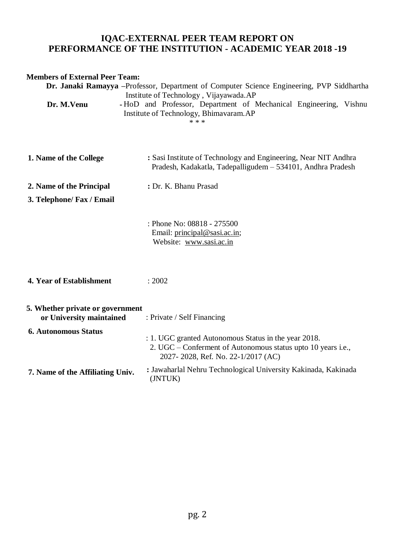# **IQAC-EXTERNAL PEER TEAM REPORT ON PERFORMANCE OF THE INSTITUTION - ACADEMIC YEAR 2018 -19**

### **Members of External Peer Team:**

| Dr. Janaki Ramayya -Professor, Department of Computer Science Engineering, PVP Siddhartha<br>Institute of Technology, Vijayawada.AP |                                                                                                                                                            |  |  |
|-------------------------------------------------------------------------------------------------------------------------------------|------------------------------------------------------------------------------------------------------------------------------------------------------------|--|--|
| Dr. M.Venu                                                                                                                          | -HoD and Professor, Department of Mechanical Engineering, Vishnu<br>Institute of Technology, Bhimavaram.AP<br>* * *                                        |  |  |
| 1. Name of the College                                                                                                              | : Sasi Institute of Technology and Engineering, Near NIT Andhra<br>Pradesh, Kadakatla, Tadepalligudem - 534101, Andhra Pradesh                             |  |  |
| 2. Name of the Principal                                                                                                            | : Dr. K. Bhanu Prasad                                                                                                                                      |  |  |
| 3. Telephone/ Fax / Email                                                                                                           |                                                                                                                                                            |  |  |
|                                                                                                                                     | : Phone No: 08818 - 275500<br>Email: principal@sasi.ac.in;<br>Website: www.sasi.ac.in                                                                      |  |  |
| 4. Year of Establishment                                                                                                            | : 2002                                                                                                                                                     |  |  |
| 5. Whether private or government<br>or University maintained                                                                        | : Private / Self Financing                                                                                                                                 |  |  |
| <b>6. Autonomous Status</b>                                                                                                         | : 1. UGC granted Autonomous Status in the year 2018.<br>2. UGC – Conferment of Autonomous status upto 10 years i.e.,<br>2027-2028, Ref. No. 22-1/2017 (AC) |  |  |
| 7. Name of the Affiliating Univ.                                                                                                    | : Jawaharlal Nehru Technological University Kakinada, Kakinada<br>(JNTUK)                                                                                  |  |  |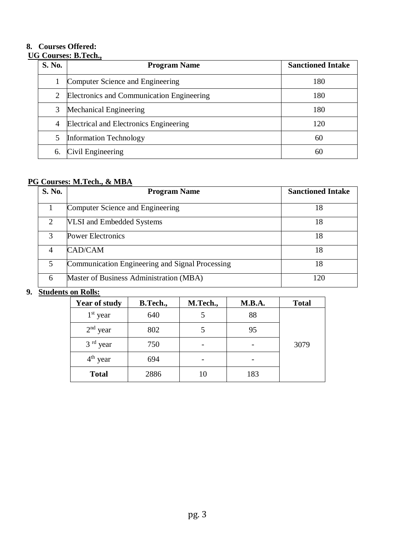### **8. Courses Offered:**

### **UG Courses: B.Tech.,**

| <b>S. No.</b>  | <b>Program Name</b>                       | <b>Sanctioned Intake</b> |
|----------------|-------------------------------------------|--------------------------|
|                | Computer Science and Engineering          | 180                      |
| $\overline{2}$ | Electronics and Communication Engineering | 180                      |
| 3              | <b>Mechanical Engineering</b>             | 180                      |
| $\overline{4}$ | Electrical and Electronics Engineering    | 120                      |
| 5              | <b>Information Technology</b>             | 60                       |
| 6.             | Civil Engineering                         | 60                       |

# **PG Courses: M.Tech., & MBA**

| S. No.        | <b>Program Name</b>                             | <b>Sanctioned Intake</b> |
|---------------|-------------------------------------------------|--------------------------|
|               | Computer Science and Engineering                | 18                       |
| 2             | VLSI and Embedded Systems                       | 18                       |
| $\mathcal{R}$ | <b>Power Electronics</b>                        | 18                       |
| 4             | CAD/CAM                                         | 18                       |
| 5             | Communication Engineering and Signal Processing | 18                       |
| 6             | Master of Business Administration (MBA)         | 120                      |

### **9. Students on Rolls:**

| <b>Year of study</b> | <b>B.Tech.,</b> | M.Tech., | M.B.A. | <b>Total</b> |
|----------------------|-----------------|----------|--------|--------------|
| $1st$ year           | 640             |          | 88     |              |
| $2nd$ year           | 802             |          | 95     |              |
| $3rd$ year           | 750             |          |        | 3079         |
| $4th$ year           | 694             |          |        |              |
| <b>Total</b>         | 2886            | 10       | 183    |              |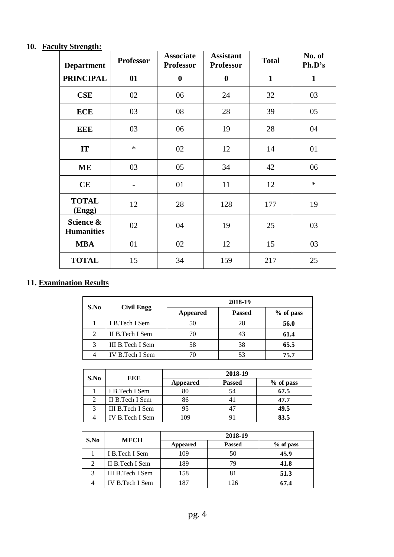### **10. Faculty Strength:**

| <b>Department</b>              | <b>Professor</b> | <b>Associate</b><br><b>Professor</b> | <b>Assistant</b><br><b>Professor</b> | <b>Total</b> | No. of<br>Ph.D's |
|--------------------------------|------------------|--------------------------------------|--------------------------------------|--------------|------------------|
| <b>PRINCIPAL</b>               | 01               | $\boldsymbol{0}$                     | $\bf{0}$                             | $\mathbf{1}$ | $\mathbf{1}$     |
| <b>CSE</b>                     | 02               | 06                                   | 24                                   | 32           | 03               |
| <b>ECE</b>                     | 03               | 08                                   | 28                                   | 39           | 05               |
| <b>EEE</b>                     | 03               | 06                                   | 19                                   | 28           | 04               |
| IT                             | $\ast$           | 02                                   | 12                                   | 14           | 01               |
| <b>ME</b>                      | 03               | 05                                   | 34                                   | 42           | 06               |
| CE                             |                  | 01                                   | 11                                   | 12           | $\ast$           |
| <b>TOTAL</b><br>(Engg)         | 12               | 28                                   | 128                                  | 177          | 19               |
| Science &<br><b>Humanities</b> | 02               | 04                                   | 19                                   | 25           | 03               |
| <b>MBA</b>                     | 01               | 02                                   | 12                                   | 15           | 03               |
| <b>TOTAL</b>                   | 15               | 34                                   | 159                                  | 217          | 25               |

# **11. Examination Results**

|                |                   | 2018-19  |               |           |
|----------------|-------------------|----------|---------------|-----------|
| S.No           | <b>Civil Engg</b> | Appeared | <b>Passed</b> | % of pass |
|                | I B.Tech I Sem    | 50       | 28            | 56.0      |
| $\overline{2}$ | II B.Tech I Sem   | 70       | 43            | 61.4      |
| 3              | III B.Tech I Sem  | 58       | 38            | 65.5      |
| 4              | IV B.Tech I Sem   | 70       | 53            | 75.7      |

|                         |                  | 2018-19         |                |           |
|-------------------------|------------------|-----------------|----------------|-----------|
|                         | S.No<br>EEE      | <b>Appeared</b> | <b>Passed</b>  | % of pass |
|                         | I B.Tech I Sem   |                 | 54             | 67.5      |
|                         | II B. Tech I Sem | 86              |                | 47.7      |
| $\mathbf{\overline{3}}$ | III B.Tech I Sem |                 | 4 <sup>7</sup> | 49.5      |
|                         | IV B.Tech I Sem  | 109             |                | 83.5      |

| S.No | <b>MECH</b>      | 2018-19         |               |             |
|------|------------------|-----------------|---------------|-------------|
|      |                  | <b>Appeared</b> | <b>Passed</b> | $%$ of pass |
|      | I B.Tech I Sem   | 109             | 50            | 45.9        |
|      | II B.Tech I Sem  | 189             | 79            | 41.8        |
| 3    | III B.Tech I Sem | 158             | 81            | 51.3        |
|      | IV B.Tech I Sem  |                 | 126           | 67.4        |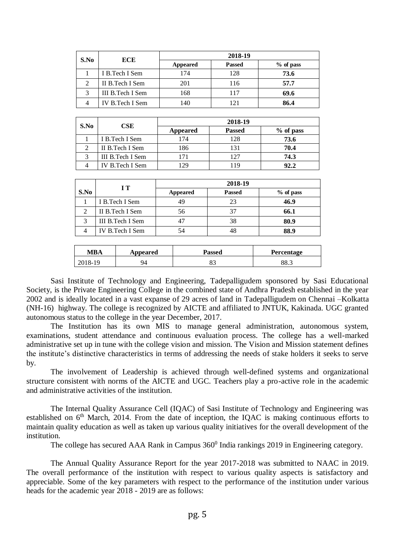| S.No          |                   |                 |               |             |
|---------------|-------------------|-----------------|---------------|-------------|
|               | <b>ECE</b>        | <b>Appeared</b> | <b>Passed</b> | $%$ of pass |
|               | I B.Tech I Sem    | 174             | 128           | 73.6        |
| $\mathcal{D}$ | II B. Tech I Sem  | 201             | 116           | 57.7        |
| 3             | III B. Tech I Sem | 168             | 117           | 69.6        |
|               | IV B.Tech I Sem   | 140             | 121           | 86.4        |

| S.No | $\bf CSE$        | 2018-19  |               |           |
|------|------------------|----------|---------------|-----------|
|      |                  | Appeared | <b>Passed</b> | % of pass |
|      | I B.Tech I Sem   | 174      | 128           | 73.6      |
|      | II B. Tech I Sem | 186      | 131           | 70.4      |
|      | III B.Tech I Sem |          | 127           | 74.3      |
|      | IV B.Tech I Sem  |          | 119           | 92.2      |

|      |                  | 2018-19<br>$\bf I T$ |               |             |
|------|------------------|----------------------|---------------|-------------|
| S.No |                  | <b>Appeared</b>      | <b>Passed</b> | $%$ of pass |
|      | I B.Tech I Sem   | 49                   | 23            | 46.9        |
|      | II B. Tech I Sem | 56                   | 37            | 66.1        |
| 2    | III B.Tech I Sem | 47                   | 38            | 80.9        |
|      | IV B.Tech I Sem  | 54                   | 48            | 88.9        |

| MBA     | Appeared | Passed | Percentage |
|---------|----------|--------|------------|
| 2018-19 | 94       | ັ      | 88.3       |

Sasi Institute of Technology and Engineering, Tadepalligudem sponsored by Sasi Educational Society, is the Private Engineering College in the combined state of Andhra Pradesh established in the year 2002 and is ideally located in a vast expanse of 29 acres of land in Tadepalligudem on Chennai –Kolkatta (NH-16) highway. The college is recognized by AICTE and affiliated to JNTUK, Kakinada. UGC granted autonomous status to the college in the year December, 2017.

The Institution has its own MIS to manage general administration, autonomous system, examinations, student attendance and continuous evaluation process. The college has a well-marked administrative set up in tune with the college vision and mission. The Vision and Mission statement defines the institute's distinctive characteristics in terms of addressing the needs of stake holders it seeks to serve by.

The involvement of Leadership is achieved through well-defined systems and organizational structure consistent with norms of the AICTE and UGC. Teachers play a pro-active role in the academic and administrative activities of the institution.

The Internal Quality Assurance Cell (IQAC) of Sasi Institute of Technology and Engineering was established on  $6<sup>th</sup>$  March, 2014. From the date of inception, the IOAC is making continuous efforts to maintain quality education as well as taken up various quality initiatives for the overall development of the institution.

The college has secured AAA Rank in Campus 360<sup>0</sup> India rankings 2019 in Engineering category.

The Annual Quality Assurance Report for the year 2017-2018 was submitted to NAAC in 2019. The overall performance of the institution with respect to various quality aspects is satisfactory and appreciable. Some of the key parameters with respect to the performance of the institution under various heads for the academic year 2018 - 2019 are as follows: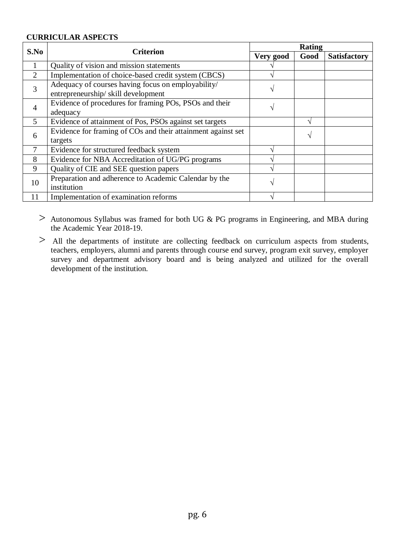### **CURRICULAR ASPECTS**

| S.No           | <b>Criterion</b>                                                                         |           | Rating |                     |  |
|----------------|------------------------------------------------------------------------------------------|-----------|--------|---------------------|--|
|                |                                                                                          | Very good | Good   | <b>Satisfactory</b> |  |
| $\mathbf{1}$   | Quality of vision and mission statements                                                 |           |        |                     |  |
| $\overline{2}$ | Implementation of choice-based credit system (CBCS)                                      |           |        |                     |  |
| 3              | Adequacy of courses having focus on employability/<br>entrepreneurship/skill development |           |        |                     |  |
| 4              | Evidence of procedures for framing POs, PSOs and their<br>adequacy                       |           |        |                     |  |
| $\mathfrak{S}$ | Evidence of attainment of Pos, PSOs against set targets                                  |           |        |                     |  |
| 6              | Evidence for framing of COs and their attainment against set<br>targets                  |           |        |                     |  |
| $\overline{7}$ | Evidence for structured feedback system                                                  |           |        |                     |  |
| 8              | Evidence for NBA Accreditation of UG/PG programs                                         |           |        |                     |  |
| 9              | Quality of CIE and SEE question papers                                                   |           |        |                     |  |
| 10             | Preparation and adherence to Academic Calendar by the<br>institution                     |           |        |                     |  |
| 11             | Implementation of examination reforms                                                    |           |        |                     |  |

> Autonomous Syllabus was framed for both UG & PG programs in Engineering, and MBA during the Academic Year 2018-19.

> All the departments of institute are collecting feedback on curriculum aspects from students, teachers, employers, alumni and parents through course end survey, program exit survey, employer survey and department advisory board and is being analyzed and utilized for the overall development of the institution.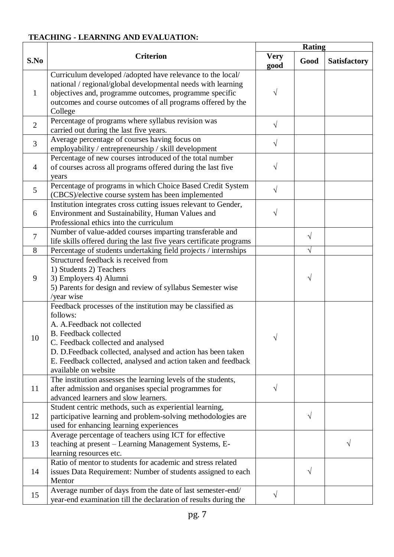# **TEACHING - LEARNING AND EVALUATION:**

|                |                                                                                                                                                                                                                                                                                                                                      |                     | <b>Rating</b> |                     |
|----------------|--------------------------------------------------------------------------------------------------------------------------------------------------------------------------------------------------------------------------------------------------------------------------------------------------------------------------------------|---------------------|---------------|---------------------|
| S.No           | <b>Criterion</b>                                                                                                                                                                                                                                                                                                                     | <b>Very</b><br>good | Good          | <b>Satisfactory</b> |
| 1              | Curriculum developed /adopted have relevance to the local/<br>national / regional/global developmental needs with learning<br>objectives and, programme outcomes, programme specific<br>outcomes and course outcomes of all programs offered by the<br>College                                                                       |                     |               |                     |
| $\overline{2}$ | Percentage of programs where syllabus revision was<br>carried out during the last five years.                                                                                                                                                                                                                                        | V                   |               |                     |
| 3              | Average percentage of courses having focus on<br>employability / entrepreneurship / skill development                                                                                                                                                                                                                                | $\sqrt{}$           |               |                     |
| $\overline{4}$ | Percentage of new courses introduced of the total number<br>of courses across all programs offered during the last five<br>years                                                                                                                                                                                                     |                     |               |                     |
| 5              | Percentage of programs in which Choice Based Credit System<br>(CBCS)/elective course system has been implemented                                                                                                                                                                                                                     | $\sqrt{}$           |               |                     |
| 6              | Institution integrates cross cutting issues relevant to Gender,<br>Environment and Sustainability, Human Values and<br>Professional ethics into the curriculum                                                                                                                                                                       |                     |               |                     |
| $\overline{7}$ | Number of value-added courses imparting transferable and<br>life skills offered during the last five years certificate programs                                                                                                                                                                                                      |                     | $\sqrt{}$     |                     |
| 8              | Percentage of students undertaking field projects / internships                                                                                                                                                                                                                                                                      |                     | $\sqrt{}$     |                     |
| 9              | Structured feedback is received from<br>1) Students 2) Teachers<br>3) Employers 4) Alumni<br>5) Parents for design and review of syllabus Semester wise<br>/year wise                                                                                                                                                                |                     | V             |                     |
| 10             | Feedback processes of the institution may be classified as<br>follows:<br>A. A. Feedback not collected<br><b>B.</b> Feedback collected<br>C. Feedback collected and analysed<br>D. D.Feedback collected, analysed and action has been taken<br>E. Feedback collected, analysed and action taken and feedback<br>available on website |                     |               |                     |
| 11             | The institution assesses the learning levels of the students,<br>after admission and organises special programmes for<br>advanced learners and slow learners.                                                                                                                                                                        | V                   |               |                     |
| 12             | Student centric methods, such as experiential learning,<br>participative learning and problem-solving methodologies are<br>used for enhancing learning experiences                                                                                                                                                                   |                     | V             |                     |
| 13             | Average percentage of teachers using ICT for effective<br>teaching at present - Learning Management Systems, E-<br>learning resources etc.                                                                                                                                                                                           |                     |               |                     |
| 14             | Ratio of mentor to students for academic and stress related<br>issues Data Requirement: Number of students assigned to each<br>Mentor                                                                                                                                                                                                |                     | V             |                     |
| 15             | Average number of days from the date of last semester-end/<br>year-end examination till the declaration of results during the                                                                                                                                                                                                        | V                   |               |                     |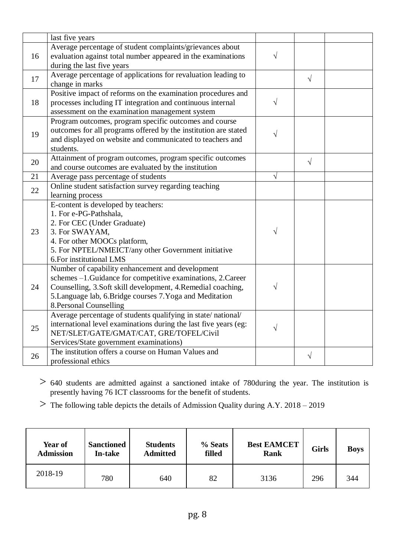|    | last five years                                                  |            |            |  |
|----|------------------------------------------------------------------|------------|------------|--|
|    | Average percentage of student complaints/grievances about        |            |            |  |
| 16 | evaluation against total number appeared in the examinations     | $\sqrt{}$  |            |  |
|    | during the last five years                                       |            |            |  |
| 17 | Average percentage of applications for revaluation leading to    |            | $\sqrt{ }$ |  |
|    | change in marks                                                  |            |            |  |
| 18 | Positive impact of reforms on the examination procedures and     |            |            |  |
|    | processes including IT integration and continuous internal       | $\sqrt{}$  |            |  |
|    | assessment on the examination management system                  |            |            |  |
|    | Program outcomes, program specific outcomes and course           |            |            |  |
| 19 | outcomes for all programs offered by the institution are stated  | V          |            |  |
|    | and displayed on website and communicated to teachers and        |            |            |  |
|    | students.                                                        |            |            |  |
| 20 | Attainment of program outcomes, program specific outcomes        |            | $\sqrt{}$  |  |
|    | and course outcomes are evaluated by the institution             |            |            |  |
| 21 | Average pass percentage of students                              | $\sqrt{ }$ |            |  |
| 22 | Online student satisfaction survey regarding teaching            |            |            |  |
|    | learning process                                                 |            |            |  |
|    | E-content is developed by teachers:                              |            |            |  |
|    | 1. For e-PG-Pathshala,                                           |            |            |  |
|    | 2. For CEC (Under Graduate)                                      |            |            |  |
| 23 | 3. For SWAYAM,                                                   |            |            |  |
|    | 4. For other MOOCs platform,                                     |            |            |  |
|    | 5. For NPTEL/NMEICT/any other Government initiative              |            |            |  |
|    | 6. For institutional LMS                                         |            |            |  |
|    | Number of capability enhancement and development                 |            |            |  |
|    | schemes -1. Guidance for competitive examinations, 2. Career     |            |            |  |
| 24 | Counselling, 3.Soft skill development, 4.Remedial coaching,      |            |            |  |
|    | 5. Language lab, 6. Bridge courses 7. Yoga and Meditation        |            |            |  |
|    | 8. Personal Counselling                                          |            |            |  |
|    | Average percentage of students qualifying in state/national/     |            |            |  |
| 25 | international level examinations during the last five years (eg: | $\sqrt{}$  |            |  |
|    | NET/SLET/GATE/GMAT/CAT, GRE/TOFEL/Civil                          |            |            |  |
|    | Services/State government examinations)                          |            |            |  |
| 26 | The institution offers a course on Human Values and              |            | V          |  |
|    | professional ethics                                              |            |            |  |

> <sup>640</sup> students are admitted against a sanctioned intake of 780during the year. The institution is presently having 76 ICT classrooms for the benefit of students.

> The following table depicts the details of Admission Quality during A.Y. 2018 – <sup>2019</sup>

| <b>Year of</b><br><b>Admission</b> | <b>Sanctioned</b><br>In-take | <b>Students</b><br><b>Admitted</b> | % Seats<br>filled | <b>Best EAMCET</b><br><b>Rank</b> | Girls | <b>Boys</b> |
|------------------------------------|------------------------------|------------------------------------|-------------------|-----------------------------------|-------|-------------|
| 2018-19                            | 780                          | 640                                | 82                | 3136                              | 296   | 344         |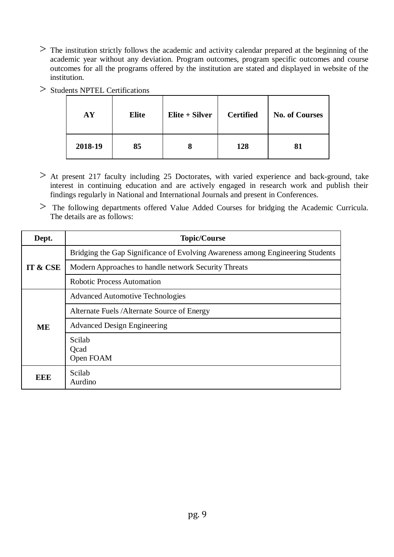- > The institution strictly follows the academic and activity calendar prepared at the beginning of the academic year without any deviation. Program outcomes, program specific outcomes and course outcomes for all the programs offered by the institution are stated and displayed in website of the institution.
- > Students NPTEL Certifications

| AY      | <b>Elite</b> | Elite + Silver | <b>Certified</b> | <b>No. of Courses</b> |
|---------|--------------|----------------|------------------|-----------------------|
| 2018-19 | 85           | О              | 128              | 81                    |

- > At present 217 faculty including 25 Doctorates, with varied experience and back-ground, take interest in continuing education and are actively engaged in research work and publish their findings regularly in National and International Journals and present in Conferences.
- > The following departments offered Value Added Courses for bridging the Academic Curricula. The details are as follows:

| Dept.    | <b>Topic/Course</b>                                                            |
|----------|--------------------------------------------------------------------------------|
|          | Bridging the Gap Significance of Evolving Awareness among Engineering Students |
| IT & CSE | Modern Approaches to handle network Security Threats                           |
|          | <b>Robotic Process Automation</b>                                              |
|          | <b>Advanced Automotive Technologies</b>                                        |
|          | Alternate Fuels / Alternate Source of Energy                                   |
| ME       | <b>Advanced Design Engineering</b>                                             |
|          | Scilab<br>Ocad<br>Open FOAM                                                    |
| EEE      | Scilab<br>Aurdino                                                              |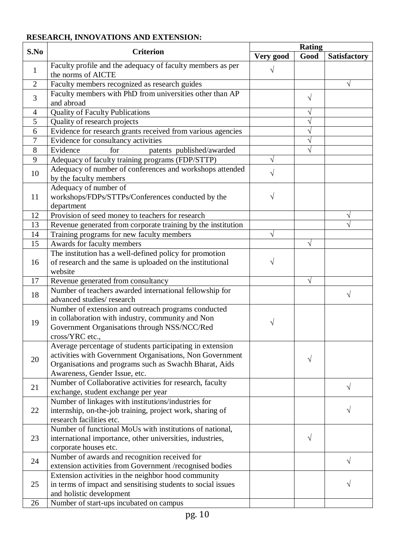# **RESEARCH, INNOVATIONS AND EXTENSION:**

| S.No           | <b>Criterion</b>                                                                                                                                                                                                 | <b>Rating</b> |            |                     |  |
|----------------|------------------------------------------------------------------------------------------------------------------------------------------------------------------------------------------------------------------|---------------|------------|---------------------|--|
|                |                                                                                                                                                                                                                  | Very good     | Good       | <b>Satisfactory</b> |  |
| $\mathbf{1}$   | Faculty profile and the adequacy of faculty members as per<br>the norms of AICTE                                                                                                                                 |               |            |                     |  |
| $\overline{2}$ | Faculty members recognized as research guides                                                                                                                                                                    |               |            | V                   |  |
| 3              | Faculty members with PhD from universities other than AP<br>and abroad                                                                                                                                           |               | V          |                     |  |
| 4              | <b>Quality of Faculty Publications</b>                                                                                                                                                                           |               |            |                     |  |
| 5              | Quality of research projects                                                                                                                                                                                     |               | $\sqrt{}$  |                     |  |
| 6              | Evidence for research grants received from various agencies                                                                                                                                                      |               | N          |                     |  |
| 7              | Evidence for consultancy activities                                                                                                                                                                              |               | N          |                     |  |
| 8              | Evidence<br>patents published/awarded<br>for                                                                                                                                                                     |               | $\sqrt{}$  |                     |  |
| 9              | Adequacy of faculty training programs (FDP/STTP)                                                                                                                                                                 |               |            |                     |  |
| 10             | Adequacy of number of conferences and workshops attended<br>by the faculty members                                                                                                                               |               |            |                     |  |
| 11             | Adequacy of number of<br>workshops/FDPs/STTPs/Conferences conducted by the<br>department                                                                                                                         | V             |            |                     |  |
| 12             | Provision of seed money to teachers for research                                                                                                                                                                 |               |            | V                   |  |
| 13             | Revenue generated from corporate training by the institution                                                                                                                                                     |               |            |                     |  |
| 14             | Training programs for new faculty members                                                                                                                                                                        | V             |            |                     |  |
| 15             | Awards for faculty members                                                                                                                                                                                       |               | $\sqrt{}$  |                     |  |
| 16             | The institution has a well-defined policy for promotion<br>of research and the same is uploaded on the institutional<br>website                                                                                  |               |            |                     |  |
| 17             | Revenue generated from consultancy                                                                                                                                                                               |               | $\sqrt{ }$ |                     |  |
| 18             | Number of teachers awarded international fellowship for<br>advanced studies/research                                                                                                                             |               |            |                     |  |
| 19             | Number of extension and outreach programs conducted<br>in collaboration with industry, community and Non<br>Government Organisations through NSS/NCC/Red<br>cross/YRC etc.,                                      | V             |            |                     |  |
| 20             | Average percentage of students participating in extension<br>activities with Government Organisations, Non Government<br>Organisations and programs such as Swachh Bharat, Aids<br>Awareness, Gender Issue, etc. |               | V          |                     |  |
| 21             | Number of Collaborative activities for research, faculty<br>exchange, student exchange per year                                                                                                                  |               |            | V                   |  |
| 22             | Number of linkages with institutions/industries for<br>internship, on-the-job training, project work, sharing of<br>research facilities etc.                                                                     |               |            |                     |  |
| 23             | Number of functional MoUs with institutions of national,<br>international importance, other universities, industries,<br>corporate houses etc.                                                                   |               | $\sqrt{}$  |                     |  |
| 24             | Number of awards and recognition received for<br>extension activities from Government /recognised bodies                                                                                                         |               |            | $\sqrt{}$           |  |
| 25             | Extension activities in the neighbor hood community<br>in terms of impact and sensitising students to social issues<br>and holistic development                                                                  |               |            |                     |  |
| 26             | Number of start-ups incubated on campus                                                                                                                                                                          |               |            |                     |  |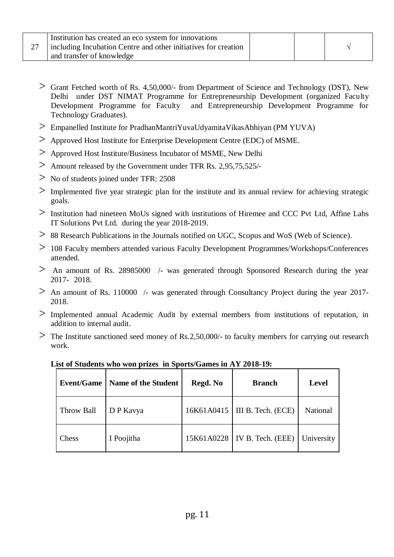|               | Institution has created an eco system for innovations          |  |  |
|---------------|----------------------------------------------------------------|--|--|
| $\mathcal{L}$ | including Incubation Centre and other initiatives for creation |  |  |
|               | and transfer of knowledge                                      |  |  |

- > Grant Fetched worth of Rs. 4,50,000/- from Department of Science and Technology (DST), New Delhi under DST NIMAT Programme for Entrepreneurship Development (organized Faculty Development Programme for Faculty and Entrepreneurship Development Programme for Technology Graduates).
- > Empanelled Institute for PradhanMantriYuvaUdyamitaVikasAbhiyan (PM YUVA)
- > Approved Host Institute for Enterprise Development Centre (EDC) of MSME.
- > Approved Host Institute/Business Incubator of MSME, New Delhi
- > Amount released by the Government under TFR Rs. 2,95,75,525/-
- > No of students joined under TFR: 2508
- $>$  Implemented five year strategic plan for the institute and its annual review for achieving strategic goals.
- > Institution had nineteen MoUs signed with institutions of Hiremee and CCC Pvt Ltd, Affine Labs IT Solutions Pvt Ltd. during the year 2018-2019.
- > 88 Research Publications in the Journals notified on UGC, Scopus and WoS (Web of Science).
- > <sup>108</sup> Faculty members attended various Faculty Development Programmes/Workshops/Conferences attended.
- $>$  An amount of Rs. 28985000  $\prime$  was generated through Sponsored Research during the year 2017- 2018.
- $>$  An amount of Rs. 110000 /- was generated through Consultancy Project during the year 2017-2018.
- > Implemented annual Academic Audit by external members from institutions of reputation, in addition to internal audit.
- $>$  The Institute sanctioned seed money of Rs.2,50,000/- to faculty members for carrying out research work.

| <b>Event/Game</b> | Name of the Student | Regd. No   | <b>Branch</b>                   | <b>Level</b>    |
|-------------------|---------------------|------------|---------------------------------|-----------------|
| Throw Ball        | D P Kavya           |            | 16K61A0415   III B. Tech. (ECE) | <b>National</b> |
| Chess             | I Poojitha          | 15K61A0228 | IV B. Tech. (EEE)               | University      |

**List of Students who won prizes in Sports/Games in AY 2018-19:**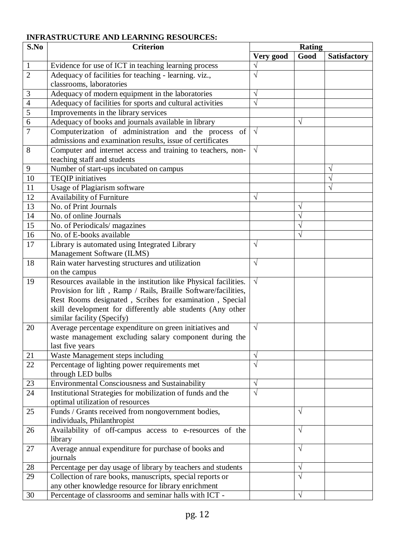## **INFRASTRUCTURE AND LEARNING RESOURCES:**

| S.No<br><b>Criterion</b> |                                                                    | Rating     |            |                     |
|--------------------------|--------------------------------------------------------------------|------------|------------|---------------------|
|                          |                                                                    | Very good  | Good       | <b>Satisfactory</b> |
| $\mathbf{1}$             | Evidence for use of ICT in teaching learning process               |            |            |                     |
| $\overline{2}$           | Adequacy of facilities for teaching - learning. viz.,              | V          |            |                     |
|                          | classrooms, laboratories                                           |            |            |                     |
| 3                        | Adequacy of modern equipment in the laboratories                   | $\sqrt{}$  |            |                     |
| $\overline{4}$           | Adequacy of facilities for sports and cultural activities          | $\sqrt{}$  |            |                     |
| $\overline{5}$           | Improvements in the library services                               |            |            |                     |
| $\overline{6}$           | Adequacy of books and journals available in library                |            | $\sqrt{}$  |                     |
| $\overline{7}$           | Computerization of administration and the process of               | $\sqrt{ }$ |            |                     |
|                          | admissions and examination results, issue of certificates          |            |            |                     |
| 8                        | Computer and internet access and training to teachers, non-        | $\sqrt{ }$ |            |                     |
|                          | teaching staff and students                                        |            |            |                     |
| 9                        | Number of start-ups incubated on campus                            |            |            | V                   |
| $\overline{10}$          | <b>TEOIP</b> initiatives                                           |            |            | V                   |
| 11                       | Usage of Plagiarism software                                       |            |            | V                   |
| 12                       | <b>Availability of Furniture</b>                                   | $\sqrt{}$  |            |                     |
| 13                       | No. of Print Journals                                              |            | V          |                     |
| 14                       | No. of online Journals                                             |            |            |                     |
| 15                       | No. of Periodicals/ magazines                                      |            | N          |                     |
| 16                       | No. of E-books available                                           |            | V          |                     |
| 17                       | Library is automated using Integrated Library                      | $\sqrt{}$  |            |                     |
|                          | Management Software (ILMS)                                         |            |            |                     |
| 18                       | Rain water harvesting structures and utilization                   | $\sqrt{}$  |            |                     |
|                          | on the campus                                                      |            |            |                     |
| 19                       | Resources available in the institution like Physical facilities.   | $\sqrt{ }$ |            |                     |
|                          | Provision for lift, Ramp / Rails, Braille Software/facilities,     |            |            |                     |
|                          | Rest Rooms designated, Scribes for examination, Special            |            |            |                     |
|                          | skill development for differently able students (Any other         |            |            |                     |
|                          | similar facility (Specify)                                         |            |            |                     |
| 20                       | Average percentage expenditure on green initiatives and            | $\sqrt{ }$ |            |                     |
|                          | waste management excluding salary component during the             |            |            |                     |
|                          | last five years                                                    |            |            |                     |
| 21                       | Waste Management steps including                                   | $\sqrt{}$  |            |                     |
| $\overline{22}$          | Percentage of lighting power requirements met                      | $\sqrt{ }$ |            |                     |
|                          | through LED bulbs                                                  |            |            |                     |
| 23                       | Environmental Consciousness and Sustainability                     | $\sqrt{ }$ |            |                     |
| 24                       | Institutional Strategies for mobilization of funds and the         | $\sqrt{}$  |            |                     |
|                          | optimal utilization of resources                                   |            |            |                     |
| 25                       | Funds / Grants received from nongovernment bodies,                 |            | $\sqrt{ }$ |                     |
|                          | individuals, Philanthropist                                        |            |            |                     |
| 26                       | Availability of off-campus access to e-resources of the<br>library |            | $\sqrt{ }$ |                     |
| 27                       | Average annual expenditure for purchase of books and               |            | $\sqrt{}$  |                     |
|                          | journals                                                           |            |            |                     |
| 28                       | Percentage per day usage of library by teachers and students       |            | $\sqrt{}$  |                     |
| 29                       | Collection of rare books, manuscripts, special reports or          |            | $\sqrt{}$  |                     |
|                          | any other knowledge resource for library enrichment                |            |            |                     |
| 30                       | Percentage of classrooms and seminar halls with ICT -              |            | $\sqrt{ }$ |                     |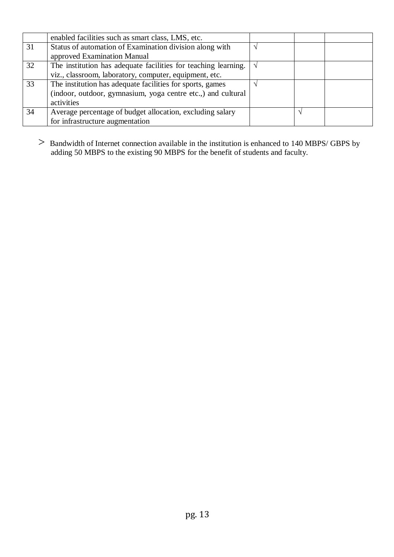|    | enabled facilities such as smart class, LMS, etc.              |  |  |
|----|----------------------------------------------------------------|--|--|
| 31 | Status of automation of Examination division along with        |  |  |
|    | approved Examination Manual                                    |  |  |
| 32 | The institution has adequate facilities for teaching learning. |  |  |
|    | viz., classroom, laboratory, computer, equipment, etc.         |  |  |
| 33 | The institution has adequate facilities for sports, games      |  |  |
|    | (indoor, outdoor, gymnasium, yoga centre etc.,) and cultural   |  |  |
|    | activities                                                     |  |  |
| 34 | Average percentage of budget allocation, excluding salary      |  |  |
|    | for infrastructure augmentation                                |  |  |

> Bandwidth of Internet connection available in the institution is enhanced to 140 MBPS/ GBPS by adding 50 MBPS to the existing 90 MBPS for the benefit of students and faculty.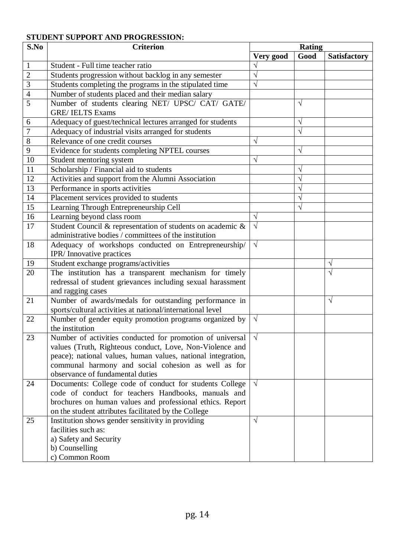## **STUDENT SUPPORT AND PROGRESSION:**

| S.No           | <b>Criterion</b>                                             | <b>Rating</b> |           |                     |
|----------------|--------------------------------------------------------------|---------------|-----------|---------------------|
|                |                                                              | Very good     | Good      | <b>Satisfactory</b> |
| $\mathbf{1}$   | Student - Full time teacher ratio                            |               |           |                     |
| $\overline{2}$ | Students progression without backlog in any semester         |               |           |                     |
| 3              | Students completing the programs in the stipulated time      | V             |           |                     |
| 4              | Number of students placed and their median salary            |               |           |                     |
| 5              | Number of students clearing NET/ UPSC/ CAT/ GATE/            |               | V         |                     |
|                | <b>GRE/IELTS Exams</b>                                       |               |           |                     |
| 6              | Adequacy of guest/technical lectures arranged for students   |               | $\sqrt{}$ |                     |
| $\overline{7}$ | Adequacy of industrial visits arranged for students          |               | $\sqrt{}$ |                     |
| 8              | Relevance of one credit courses                              | $\sqrt{ }$    |           |                     |
| 9              | Evidence for students completing NPTEL courses               |               | V         |                     |
| 10             | Student mentoring system                                     | V             |           |                     |
| 11             | Scholarship / Financial aid to students                      |               | V         |                     |
| 12             | Activities and support from the Alumni Association           |               | V         |                     |
| 13             | Performance in sports activities                             |               | V         |                     |
| 14             | Placement services provided to students                      |               | V         |                     |
| 15             | Learning Through Entrepreneurship Cell                       |               | V         |                     |
| 16             | Learning beyond class room                                   | $\sqrt{ }$    |           |                     |
| 17             | Student Council & representation of students on academic &   | $\sqrt{ }$    |           |                     |
|                | administrative bodies / committees of the institution        |               |           |                     |
| 18             | Adequacy of workshops conducted on Entrepreneurship/         | $\sqrt{ }$    |           |                     |
|                | IPR/Innovative practices                                     |               |           |                     |
| 19             | Student exchange programs/activities                         |               |           | V                   |
| 20             | The institution has a transparent mechanism for timely       |               |           | $\sqrt{}$           |
|                | redressal of student grievances including sexual harassment  |               |           |                     |
|                | and ragging cases                                            |               |           |                     |
| 21             | Number of awards/medals for outstanding performance in       |               |           | $\sqrt{ }$          |
|                | sports/cultural activities at national/international level   |               |           |                     |
| 22             | Number of gender equity promotion programs organized by      | $\sqrt{ }$    |           |                     |
|                | the institution                                              |               |           |                     |
| 23             | Number of activities conducted for promotion of universal    | $\sqrt{ }$    |           |                     |
|                | values (Truth, Righteous conduct, Love, Non-Violence and     |               |           |                     |
|                | peace); national values, human values, national integration, |               |           |                     |
|                | communal harmony and social cohesion as well as for          |               |           |                     |
|                | observance of fundamental duties                             |               |           |                     |
| 24             | Documents: College code of conduct for students College      | $\sqrt{ }$    |           |                     |
|                | code of conduct for teachers Handbooks, manuals and          |               |           |                     |
|                | brochures on human values and professional ethics. Report    |               |           |                     |
|                | on the student attributes facilitated by the College         |               |           |                     |
| 25             | Institution shows gender sensitivity in providing            | $\sqrt{ }$    |           |                     |
|                | facilities such as:                                          |               |           |                     |
|                | a) Safety and Security                                       |               |           |                     |
|                | b) Counselling<br>c) Common Room                             |               |           |                     |
|                |                                                              |               |           |                     |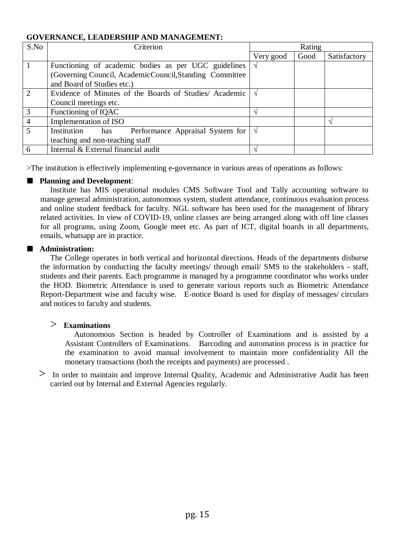### **GOVERNANCE, LEADERSHIP AND MANAGEMENT:**

| S.No                        | Criterion                                                | Rating    |      |              |
|-----------------------------|----------------------------------------------------------|-----------|------|--------------|
|                             |                                                          | Very good | Good | Satisfactory |
|                             | Functioning of academic bodies as per UGC guidelines     |           |      |              |
|                             | (Governing Council, AcademicCouncil, Standing Committee) |           |      |              |
|                             | and Board of Studies etc.)                               |           |      |              |
| $\mathcal{D}_{\mathcal{L}}$ | Evidence of Minutes of the Boards of Studies/Academic    |           |      |              |
|                             | Council meetings etc.                                    |           |      |              |
| $\mathcal{R}$               | Functioning of IQAC                                      |           |      |              |
| $\overline{4}$              | Implementation of ISO                                    |           |      |              |
|                             | Institution<br>Performance Appraisal System for<br>has   |           |      |              |
|                             | teaching and non-teaching staff                          |           |      |              |
| 6                           | Internal & External financial audit                      |           |      |              |

>The institution is effectively implementing e-governance in various areas of operations as follows:

#### ■ **Planning and Development:**

Institute has MIS operational modules CMS Software Tool and Tally accounting software to manage general administration, autonomous system, student attendance, continuous evaluation process and online student feedback for faculty. NGL software has been used for the management of library related activities. In view of COVID-19, online classes are being arranged along with off line classes for all programs, using Zoom, Google meet etc. As part of ICT, digital boards in all departments, emails, whatsapp are in practice.

#### ■ **Administration:**

The College operates in both vertical and horizontal directions. Heads of the departments disburse the information by conducting the faculty meetings/ through email/ SMS to the stakeholders - staff, students and their parents. Each programme is managed by a programme coordinator who works under the HOD. Biometric Attendance is used to generate various reports such as Biometric Attendance Report-Department wise and faculty wise. E-notice Board is used for display of messages/ circulars and notices to faculty and students.

### > **Examinations**

Autonomous Section is headed by Controller of Examinations and is assisted by a Assistant Controllers of Examinations. Barcoding and automation process is in practice for the examination to avoid manual involvement to maintain more confidentiality All the monetary transactions (both the receipts and payments) are processed .

> In order to maintain and improve Internal Quality, Academic and Administrative Audit has been carried out by Internal and External Agencies regularly.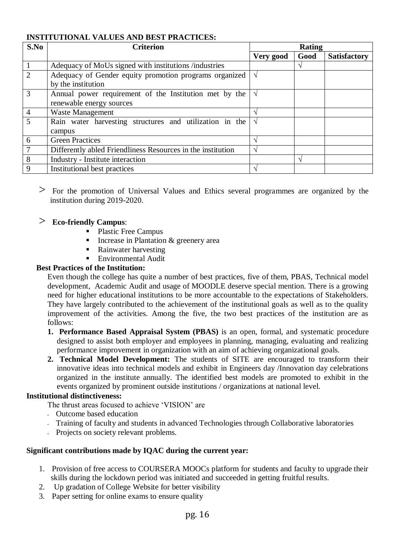### **INSTITUTIONAL VALUES AND BEST PRACTICES:**

| S.No           | <b>Criterion</b>                                                   | Rating        |                   |                     |
|----------------|--------------------------------------------------------------------|---------------|-------------------|---------------------|
|                |                                                                    | Very good     | Good              | <b>Satisfactory</b> |
|                | Adequacy of MoUs signed with institutions /industries              |               |                   |                     |
| $\overline{2}$ | Adequacy of Gender equity promotion programs organized             | $\sqrt{ }$    |                   |                     |
|                | by the institution                                                 |               |                   |                     |
| 3              | Annual power requirement of the Institution met by the             | l V           |                   |                     |
|                | renewable energy sources                                           |               |                   |                     |
| $\overline{4}$ | <b>Waste Management</b>                                            | $\Delta$      |                   |                     |
| 5              | Rain water harvesting structures and utilization in the $\sqrt{ }$ |               |                   |                     |
|                | campus                                                             |               |                   |                     |
| 6              | <b>Green Practices</b>                                             | $\mathcal{L}$ |                   |                     |
|                | Differently abled Friendliness Resources in the institution        | ٦             |                   |                     |
| 8              | Industry - Institute interaction                                   |               | $\mathbf \Lambda$ |                     |
| 9              | Institutional best practices                                       | $\mathcal{N}$ |                   |                     |

> For the promotion of Universal Values and Ethics several programmes are organized by the institution during 2019-2020.

### > **Eco-friendly Campus**:

- Plastic Free Campus
- Increase in Plantation  $&$  greenery area
- Rainwater harvesting
- Environmental Audit

### **Best Practices of the Institution:**

Even though the college has quite a number of best practices, five of them, PBAS, Technical model development, Academic Audit and usage of MOODLE deserve special mention. There is a growing need for higher educational institutions to be more accountable to the expectations of Stakeholders. They have largely contributed to the achievement of the institutional goals as well as to the quality improvement of the activities. Among the five, the two best practices of the institution are as follows:

- **1. Performance Based Appraisal System (PBAS)** is an open, formal, and systematic procedure designed to assist both employer and employees in planning, managing, evaluating and realizing performance improvement in organization with an aim of achieving organizational goals.
- **2. Technical Model Development:** The students of SITE are encouraged to transform their innovative ideas into technical models and exhibit in Engineers day /Innovation day celebrations organized in the institute annually. The identified best models are promoted to exhibit in the events organized by prominent outside institutions / organizations at national level.

### **Institutional distinctiveness:**

The thrust areas focused to achieve 'VISION' are

- Outcome based education
- Training of faculty and students in advanced Technologies through Collaborative laboratories
- Projects on society relevant problems.

#### **Significant contributions made by IQAC during the current year:**

- 1. Provision of free access to COURSERA MOOCs platform for students and faculty to upgrade their skills during the lockdown period was initiated and succeeded in getting fruitful results.
- 2. Up gradation of College Website for better visibility
- 3. Paper setting for online exams to ensure quality